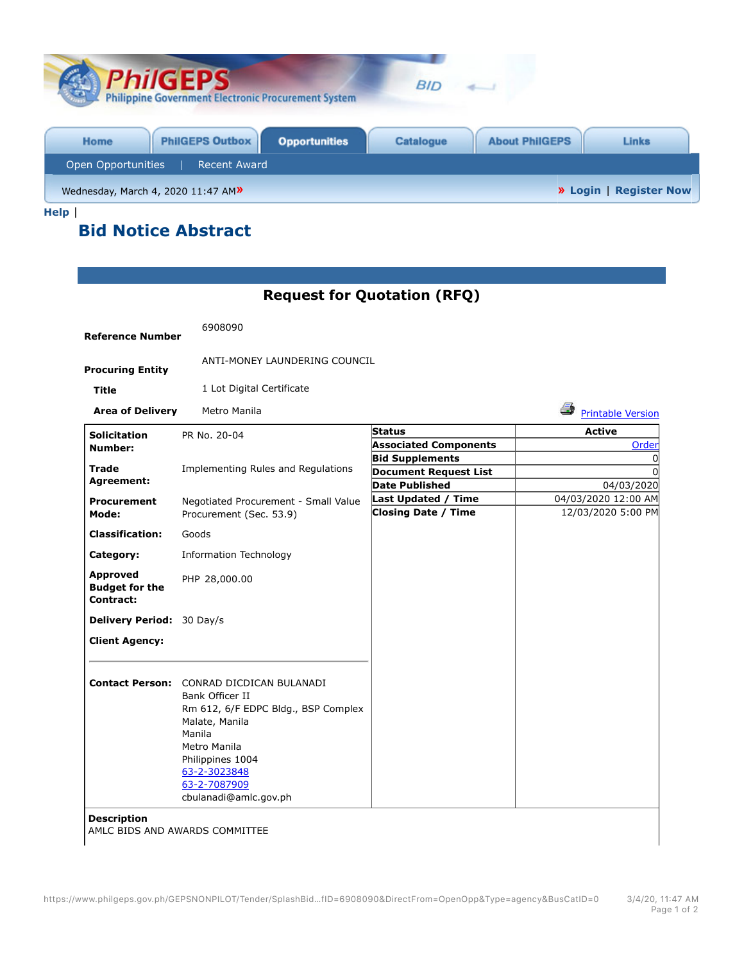| <b>PhilGEPS</b><br><b>Philippine Government Electronic Procurement System</b> | <b>BID</b>                                                |
|-------------------------------------------------------------------------------|-----------------------------------------------------------|
| <b>PhilGEPS Outbox</b><br><b>Opportunities</b><br>Home                        | <b>About PhilGEPS</b><br><b>Catalogue</b><br><b>Links</b> |
| Open Opportunities<br><b>Recent Award</b>                                     |                                                           |
| Wednesday, March 4, 2020 11:47 AM»                                            | <b>»</b> Login   Register Now                             |

**Request for Quotation (RFQ)**

**Help** |

## **Bid Notice Abstract**

| <b>Reference Number</b>                               | 6908090                                                                                                                                                                                                                            |                                                   |                                           |
|-------------------------------------------------------|------------------------------------------------------------------------------------------------------------------------------------------------------------------------------------------------------------------------------------|---------------------------------------------------|-------------------------------------------|
| <b>Procuring Entity</b>                               | ANTI-MONEY LAUNDERING COUNCIL                                                                                                                                                                                                      |                                                   |                                           |
| <b>Title</b>                                          | 1 Lot Digital Certificate                                                                                                                                                                                                          |                                                   |                                           |
| <b>Area of Delivery</b>                               | Metro Manila                                                                                                                                                                                                                       |                                                   | ê.<br><b>Printable Version</b>            |
| <b>Solicitation</b>                                   | PR No. 20-04                                                                                                                                                                                                                       | <b>Status</b>                                     | <b>Active</b>                             |
| Number:                                               |                                                                                                                                                                                                                                    | <b>Associated Components</b>                      | Order                                     |
| <b>Trade</b>                                          | Implementing Rules and Regulations                                                                                                                                                                                                 | <b>Bid Supplements</b>                            | 0                                         |
| Agreement:                                            |                                                                                                                                                                                                                                    | <b>Document Request List</b>                      | U                                         |
|                                                       |                                                                                                                                                                                                                                    | <b>Date Published</b>                             | 04/03/2020                                |
| <b>Procurement</b><br>Mode:                           | Negotiated Procurement - Small Value<br>Procurement (Sec. 53.9)                                                                                                                                                                    | Last Updated / Time<br><b>Closing Date / Time</b> | 04/03/2020 12:00 AM<br>12/03/2020 5:00 PM |
| <b>Classification:</b>                                | Goods                                                                                                                                                                                                                              |                                                   |                                           |
| Category:                                             | <b>Information Technology</b>                                                                                                                                                                                                      |                                                   |                                           |
| <b>Approved</b><br><b>Budget for the</b><br>Contract: | PHP 28,000.00                                                                                                                                                                                                                      |                                                   |                                           |
| Delivery Period: 30 Day/s                             |                                                                                                                                                                                                                                    |                                                   |                                           |
| <b>Client Agency:</b>                                 |                                                                                                                                                                                                                                    |                                                   |                                           |
|                                                       | <b>Contact Person: CONRAD DICDICAN BULANADI</b><br>Bank Officer II<br>Rm 612, 6/F EDPC Bldg., BSP Complex<br>Malate, Manila<br>Manila<br>Metro Manila<br>Philippines 1004<br>63-2-3023848<br>63-2-7087909<br>cbulanadi@amlc.gov.ph |                                                   |                                           |
| <b>Description</b>                                    | AMLC BIDS AND AWARDS COMMITTEE                                                                                                                                                                                                     |                                                   |                                           |